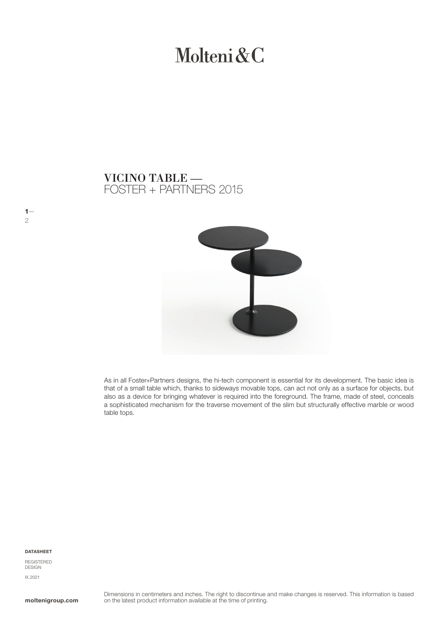# Molteni & C

# FOSTER + PARTNERS 2015 VICINO TABLE —



As in all Foster+Partners designs, the hi-tech component is essential for its development. The basic idea is that of a small table which, thanks to sideways movable tops, can act not only as a surface for objects, but also as a device for bringing whatever is required into the foreground. The frame, made of steel, conceals a sophisticated mechanism for the traverse movement of the slim but structurally effective marble or wood table tops.

DATASHEET

 $1-$ 

2

REGISTERED DESIGN IX.2021

moltenigroup.com